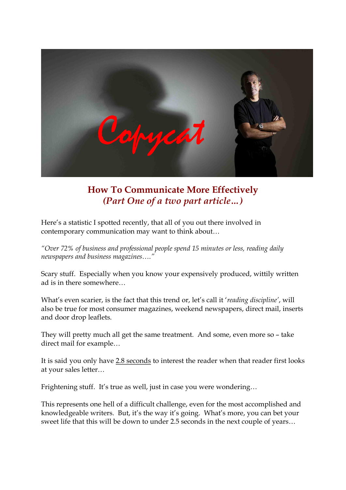

# **How To Communicate More Effectively** *(Part One of a two part article…)*

Here's a statistic I spotted recently, that all of you out there involved in contemporary communication may want to think about…

*"Over 72% of business and professional people spend 15 minutes or less, reading daily newspapers and business magazines…."*

Scary stuff. Especially when you know your expensively produced, wittily written ad is in there somewhere…

What's even scarier, is the fact that this trend or, let's call it '*reading discipline'*, will also be true for most consumer magazines, weekend newspapers, direct mail, inserts and door drop leaflets.

They will pretty much all get the same treatment. And some, even more so – take direct mail for example…

It is said you only have 2.8 seconds to interest the reader when that reader first looks at your sales letter…

Frightening stuff. It's true as well, just in case you were wondering…

This represents one hell of a difficult challenge, even for the most accomplished and knowledgeable writers. But, it's the way it's going. What's more, you can bet your sweet life that this will be down to under 2.5 seconds in the next couple of years…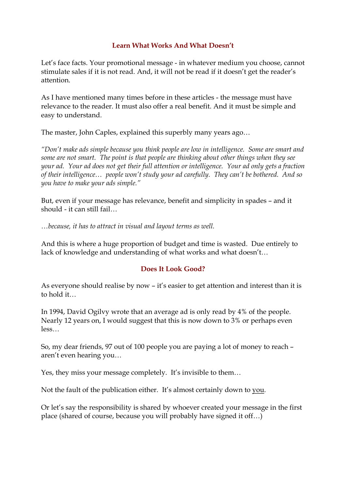### **Learn What Works And What Doesn't**

Let's face facts. Your promotional message - in whatever medium you choose, cannot stimulate sales if it is not read. And, it will not be read if it doesn't get the reader's attention.

As I have mentioned many times before in these articles - the message must have relevance to the reader. It must also offer a real benefit. And it must be simple and easy to understand.

The master, John Caples, explained this superbly many years ago…

*"Don't make ads simple because you think people are low in intelligence. Some are smart and some are not smart. The point is that people are thinking about other things when they see your ad. Your ad does not get their full attention or intelligence. Your ad only gets a fraction of their intelligence… people won't study your ad carefully. They can't be bothered. And so you have to make your ads simple."*

But, even if your message has relevance, benefit and simplicity in spades – and it should  $\overline{\phantom{a}}$  it can still fail…

*…because, it has to attract in visual and layout terms as well.*

And this is where a huge proportion of budget and time is wasted. Due entirely to lack of knowledge and understanding of what works and what doesn't…

# **Does It Look Good?**

As everyone should realise by now – it's easier to get attention and interest than it is to hold it…

In 1994, David Ogilvy wrote that an average ad is only read by 4% of the people. Nearly 12 years on, I would suggest that this is now down to 3% or perhaps even less…

So, my dear friends, 97 out of 100 people you are paying a lot of money to reach – aren't even hearing you…

Yes, they miss your message completely. It's invisible to them…

Not the fault of the publication either. It's almost certainly down to you.

Or let's say the responsibility is shared by whoever created your message in the first place (shared of course, because you will probably have signed itoff…)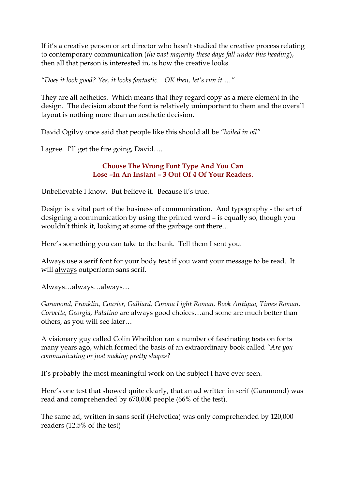If it's a creative person or art director who hasn't studied the creative process relating to contemporary communication (*the vast majority these days fall under this heading*), then all that person is interested in, is how the creative looks.

*"Does it look good? Yes, it looks fantastic. OK then, let's run it …"*

They are all aethetics. Which means that they regard copy as a mere element in the design. The decision about the font is relatively unimportant to them and the overall layout is nothing more than an aesthetic decision.

David Ogilvy once said that people like this should all be *"boiled in oil"*

I agree. I'll get the fire going, David….

### **Choose The Wrong Font Type And You Can Lose –In An Instant – 3 Out Of 4 Of Your Readers.**

Unbelievable I know. But believe it. Because it's true.

Design is a vital part of the business of communication. And typography - the art of designing a communication by using the printed word – is equally so, though you wouldn't think it, looking at some of the garbage out there…

Here's something you can take to the bank. Tell them I sent you.

Always use a serif font for your body text if you want your message to be read. It will always outperform sans serif.

Always…always…always…

*Garamond, Franklin, Courier, Galliard, Corona Light Roman, Book Antiqua, Times Roman, Corvette, Georgia, Palatino* are always good choices…and some are much better than others, as you will see later…

A visionary guy called Colin Wheildon ran a number of fascinating tests on fonts many years ago, which formed the basis of an extraordinary book called *"Are you communicating or just making pretty shapes?*

It's probably the most meaningful work on the subject I have ever seen.

Here's one test that showed quite clearly, that an ad written in serif (Garamond) was read and comprehended by 670,000 people (66% of the test).

The same ad, written in sans serif (Helvetica) was only comprehended by 120,000 readers (12.5% of the test)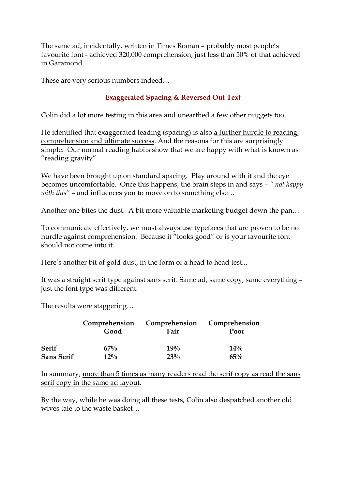The same ad, incidentally, written in Times Roman – probably most people's favourite font - achieved 320,000 comprehension, just less than 50% of that achieved in Garamond.

These are very serious numbers indeed…

# **Exaggerated Spacing & Reversed Out Text**

Colin did a lot more testing in this area and unearthed a few other nuggets too.

He identified that exaggerated leading (spacing) is also a further hurdle to reading, comprehension and ultimate success. And the reasons for this are surprisingly simple. Our normal reading habits show that we are happy with what is known as "reading gravity"

We have been brought up on standard spacing. Play around with it and the eye becomes uncomfortable. Once this happens, the brain steps in and says – *" not happy with this"* – and influences you to move on to something else…

Another one bites the dust. A bit more valuable marketing budget down the pan…

To communicate effectively, we must always use typefaces that are proven to be no hurdle against comprehension. Because it "looks good" or is your favourite font should not come into it.

Here's another bit of gold dust, in the form of a head to head test...

It was a straight serif type against sans serif. Same ad, same copy, same everything – just the font type was different.

The results were staggering…

|                   | Comprehension | Comprehension | Comprehension |
|-------------------|---------------|---------------|---------------|
|                   | Good          | Fair          | Poor          |
| <b>Serif</b>      | 67%           | 19%           | $14\%$        |
| <b>Sans Serif</b> | $12\%$        | 23%           | 65%           |

In summary, more than 5 times as many readers read the serif copy as read the sans serif copy in the same ad layout.

By the way, while he was doing all these tests, Colin also despatched another old wives tale to the waste basket…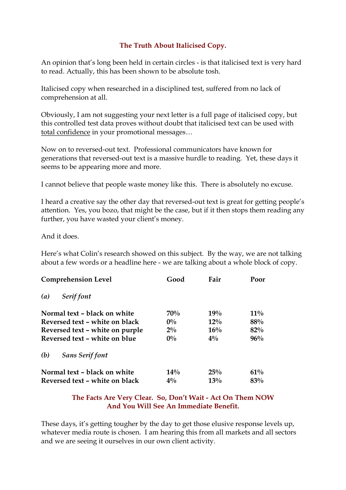# **The Truth About Italicised Copy.**

An opinion that's long been held in certain circles - is that italicised text is very hard to read. Actually, this has been shown to be absolute tosh.

Italicised copy when researched in a disciplined test, suffered from no lack of comprehension at all.

Obviously, I am not suggesting your next letter is a full page of italicised copy, but this controlled test data proves without doubt that italicised text can be used with total confidence in your promotional messages…

Now on to reversed-out text. Professional communicators have known for generations that reversed-out text is a massive hurdle to reading. Yet, these days it seems to be appearing more and more.

I cannot believe that people waste money like this. There is absolutely no excuse.

I heard a creative say the other day that reversed-out text is great for getting people's attention. Yes, you bozo, that might be the case, but if it then stops them reading any further, you have wasted your client's money.

And it does.

Here's what Colin's research showed on this subject. By the way, we are not talking about a few words or a headline here - we are talking about a whole block of copy.

| <b>Comprehension Level</b>      | Good   | Fair   | Poor   |
|---------------------------------|--------|--------|--------|
| Serif font<br>$\left( a\right)$ |        |        |        |
| Normal text - black on white    | 70%    | 19%    | $11\%$ |
| Reversed text - white on black  | $0\%$  | $12\%$ | 88%    |
| Reversed text - white on purple | $2\%$  | 16%    | 82%    |
| Reversed text – white on blue   | $0\%$  | $4\%$  | $96\%$ |
| (b)<br><b>Sans Serif font</b>   |        |        |        |
| Normal text – black on white    | $14\%$ | 25%    | 61%    |
| Reversed text - white on black  | $4\%$  | 13%    | 83%    |

## **The Facts Are Very Clear. So, Don't Wait Act On Them NOW And You Will See An Immediate Benefit.**

These days, it's getting tougher by the day to get those elusive response levels up, whatever media route is chosen. I am hearing this from all markets and all sectors and we are seeing it ourselves in our own client activity.